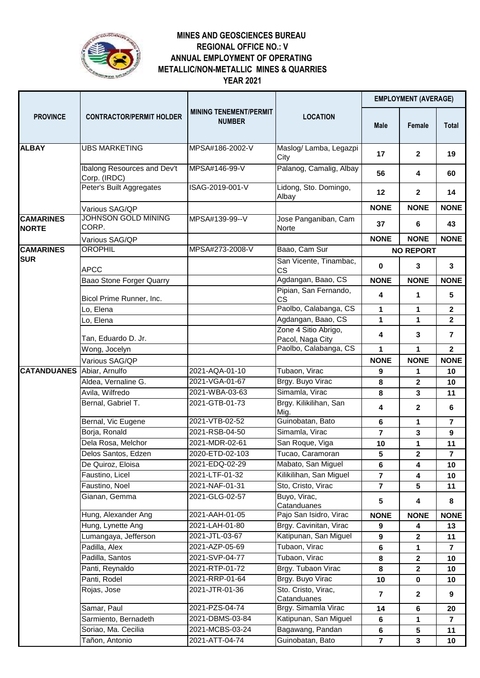

## **MINES AND GEOSCIENCES BUREAU ANNUAL EMPLOYMENT OF OPERATING REGIONAL OFFICE NO.: V YEAR 2021 METALLIC/NON-METALLIC MINES & QUARRIES**

| <b>PROVINCE</b>                   | <b>CONTRACTOR/PERMIT HOLDER</b>             | <b>MINING TENEMENT/PERMIT</b><br><b>NUMBER</b> | <b>LOCATION</b>                                    | <b>EMPLOYMENT (AVERAGE)</b> |                         |                         |
|-----------------------------------|---------------------------------------------|------------------------------------------------|----------------------------------------------------|-----------------------------|-------------------------|-------------------------|
|                                   |                                             |                                                |                                                    | <b>Male</b>                 | Female                  | <b>Total</b>            |
| <b>ALBAY</b>                      | <b>UBS MARKETING</b>                        | MPSA#186-2002-V                                | Maslog/ Lamba, Legazpi<br>City                     | 17                          | $\mathbf{2}$            | 19                      |
|                                   | Ibalong Resources and Dev't<br>Corp. (IRDC) | MPSA#146-99-V                                  | Palanog, Camalig, Albay                            | 56                          | 4                       | 60                      |
|                                   | Peter's Built Aggregates                    | ISAG-2019-001-V                                | Lidong, Sto. Domingo,<br>Albay                     | 12                          | $\mathbf{2}$            | 14                      |
|                                   | Various SAG/QP                              |                                                |                                                    | <b>NONE</b>                 | <b>NONE</b>             | <b>NONE</b>             |
| <b>CAMARINES</b><br><b>NORTE</b>  | JOHNSON GOLD MINING<br>CORP.                | MPSA#139-99--V                                 | Jose Panganiban, Cam<br>Norte                      | 37                          | 6                       | 43                      |
|                                   | Various SAG/QP                              |                                                |                                                    | <b>NONE</b>                 | <b>NONE</b>             | <b>NONE</b>             |
| <b>CAMARINES</b>                  | <b>OROPHIL</b>                              | MPSA#273-2008-V                                | Baao, Cam Sur                                      |                             | <b>NO REPORT</b>        |                         |
| <b>SUR</b>                        | <b>APCC</b>                                 |                                                | San Vicente, Tinambac,<br><b>CS</b>                | $\mathbf 0$                 | 3                       | 3                       |
|                                   | Baao Stone Forger Quarry                    |                                                | Agdangan, Baao, CS                                 | <b>NONE</b>                 | <b>NONE</b>             | <b>NONE</b>             |
|                                   | Bicol Prime Runner, Inc.                    |                                                | Pipian, San Fernando,<br><b>CS</b>                 | 4                           | 1                       | $5\phantom{.0}$         |
|                                   | Lo, Elena                                   |                                                | Paolbo, Calabanga, CS                              | $\mathbf 1$                 | 1                       | $\mathbf{2}$            |
|                                   | Lo, Elena                                   |                                                | Agdangan, Baao, CS                                 | 1                           | 1                       | $\mathbf{2}$            |
|                                   | Tan, Eduardo D. Jr.                         |                                                | Zone 4 Sitio Abrigo,<br>Pacol, Naga City           | 4                           | 3                       | $\overline{7}$          |
|                                   | Wong, Jocelyn                               |                                                | Paolbo, Calabanga, CS                              | 1                           | 1                       | $\mathbf{2}$            |
|                                   | Various SAG/QP                              |                                                |                                                    | <b>NONE</b>                 | <b>NONE</b>             | <b>NONE</b>             |
| <b>CATANDUANES</b> Abiar, Arnulfo |                                             | 2021-AQA-01-10                                 | Tubaon, Virac                                      | 9                           | 1                       | 10                      |
|                                   | Aldea, Vernaline G.                         | 2021-VGA-01-67                                 | Brgy. Buyo Virac                                   | 8                           | $\overline{\mathbf{2}}$ | 10                      |
|                                   | Avila, Wilfredo<br>Bernal, Gabriel T.       | 2021-WBA-03-63                                 | Simamla, Virac                                     | 8                           | 3                       | 11                      |
|                                   |                                             | 2021-GTB-01-73<br>2021-VTB-02-52               | Brgy. Kilikilihan, San<br>Mig.<br>Guinobatan, Bato | 4                           | 2                       | 6                       |
|                                   | Bernal, Vic Eugene<br>Borja, Ronald         | 2021-RSB-04-50                                 | Simamla, Virac                                     | 6<br>$\overline{7}$         | 1<br>3                  | 7<br>9                  |
|                                   | Dela Rosa, Melchor                          | 2021-MDR-02-61                                 | San Roque, Viga                                    |                             | 1                       | 11                      |
|                                   | Delos Santos, Edzen                         | 2020-ETD-02-103                                | Tucao, Caramoran                                   | 10<br>5                     | 2                       | $\overline{7}$          |
|                                   | De Quiroz, Eloisa                           | 2021-EDQ-02-29                                 | Mabato, San Miguel                                 | 6                           | 4                       | 10                      |
|                                   | Faustino, Licel                             | 2021-LTF-01-32                                 | Kilikilihan, San Miguel                            | $\overline{\mathbf{r}}$     | 4                       | 10                      |
|                                   | Faustino, Noel                              | 2021-NAF-01-31                                 | Sto, Cristo, Virac                                 | $\overline{7}$              | 5 <sup>5</sup>          | 11                      |
|                                   | Gianan, Gemma                               | 2021-GLG-02-57                                 | Buyo, Virac,<br>Catanduanes                        | 5                           | 4                       | 8                       |
|                                   | Hung, Alexander Ang                         | 2021-AAH-01-05                                 | Pajo San Isidro, Virac                             | <b>NONE</b>                 | <b>NONE</b>             | <b>NONE</b>             |
|                                   | Hung, Lynette Ang                           | 2021-LAH-01-80                                 | Brgy. Cavinitan, Virac                             | 9                           | 4                       | 13                      |
|                                   | Lumangaya, Jefferson                        | 2021-JTL-03-67                                 | Katipunan, San Miguel                              | 9                           | $\mathbf{2}$            | 11                      |
|                                   | Padilla, Alex                               | 2021-AZP-05-69                                 | Tubaon, Virac                                      | 6                           | 1                       | $\overline{\mathbf{r}}$ |
|                                   | Padilla, Santos                             | 2021-SVP-04-77                                 | Tubaon, Virac                                      | 8                           | $\mathbf{2}$            | 10                      |
|                                   | Panti, Reynaldo                             | 2021-RTP-01-72                                 | Brgy. Tubaon Virac                                 | 8                           | $\overline{\mathbf{2}}$ | 10                      |
|                                   | Panti, Rodel                                | 2021-RRP-01-64                                 | Brgy. Buyo Virac                                   | 10                          | $\mathbf 0$             | 10                      |
|                                   | Rojas, Jose                                 | 2021-JTR-01-36                                 | Sto. Cristo, Virac,<br>Catanduanes                 | $\overline{7}$              | $\mathbf{2}$            | 9                       |
|                                   | Samar, Paul                                 | 2021-PZS-04-74                                 | Brgy. Simamla Virac                                | 14                          | 6                       | 20                      |
|                                   | Sarmiento, Bernadeth                        | 2021-DBMS-03-84                                | Katipunan, San Miguel                              | 6                           | 1                       | 7                       |
|                                   | Soriao, Ma. Cecilia                         | 2021-MCBS-03-24                                | Bagawang, Pandan                                   | 6                           | 5                       | 11                      |
|                                   | Tañon, Antonio                              | 2021-ATT-04-74                                 | Guinobatan, Bato                                   | $\overline{7}$              | $\mathbf{3}$            | 10                      |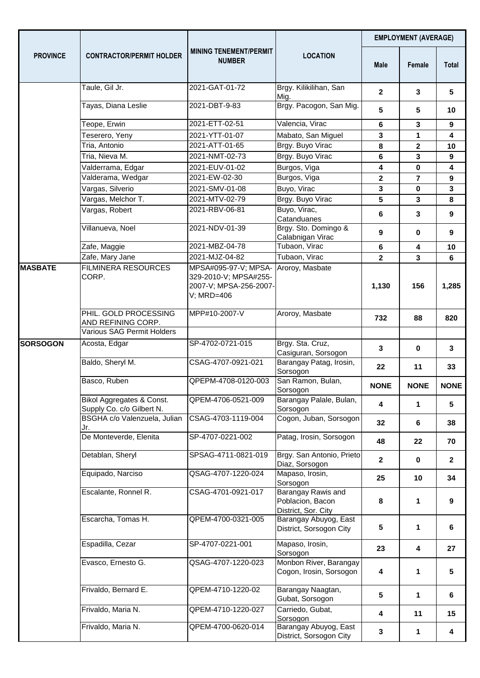| <b>PROVINCE</b> | <b>CONTRACTOR/PERMIT HOLDER</b>                        | <b>MINING TENEMENT/PERMIT</b><br><b>NUMBER</b>                                        | <b>LOCATION</b>                                               | <b>EMPLOYMENT (AVERAGE)</b> |                |                  |
|-----------------|--------------------------------------------------------|---------------------------------------------------------------------------------------|---------------------------------------------------------------|-----------------------------|----------------|------------------|
|                 |                                                        |                                                                                       |                                                               | <b>Male</b>                 | Female         | <b>Total</b>     |
|                 | Taule, Gil Jr.                                         | 2021-GAT-01-72                                                                        | Brgy. Kilikilihan, San<br>Mig.                                | $\mathbf{2}$                | 3              | 5                |
|                 | Tayas, Diana Leslie                                    | 2021-DBT-9-83                                                                         | Brgy. Pacogon, San Mig.                                       | 5                           | 5              | 10               |
|                 | Teope, Erwin                                           | 2021-ETT-02-51                                                                        | Valencia, Virac                                               | 6                           | 3              | 9                |
|                 | Teserero, Yeny                                         | 2021-YTT-01-07                                                                        | Mabato, San Miguel                                            | 3                           | 1              | 4                |
|                 | Tria, Antonio                                          | 2021-ATT-01-65                                                                        | Brgy. Buyo Virac                                              | 8                           | $\mathbf{2}$   | 10               |
|                 | Tria, Nieva M.                                         | 2021-NMT-02-73                                                                        | Brgy. Buyo Virac                                              | 6                           | 3              | 9                |
|                 | Valderrama, Edgar                                      | 2021-EUV-01-02                                                                        | Burgos, Viga                                                  | 4                           | $\mathbf 0$    | 4                |
|                 | Valderama, Wedgar                                      | 2021-EW-02-30                                                                         | Burgos, Viga                                                  | $\overline{\mathbf{2}}$     | $\overline{7}$ | 9                |
|                 | Vargas, Silverio                                       | 2021-SMV-01-08                                                                        | Buyo, Virac                                                   | 3                           | $\mathbf{0}$   | 3                |
|                 | Vargas, Melchor T.                                     | 2021-MTV-02-79                                                                        | Brgy. Buyo Virac                                              | 5                           | 3              | 8                |
|                 | Vargas, Robert                                         | 2021-RBV-06-81                                                                        | Buyo, Virac,<br>Catanduanes                                   | 6                           | 3              | $\boldsymbol{9}$ |
|                 | Villanueva, Noel                                       | 2021-NDV-01-39                                                                        | Brgy. Sto. Domingo &<br>Calabnigan Virac                      | 9                           | $\mathbf 0$    | 9                |
|                 | Zafe, Maggie                                           | 2021-MBZ-04-78                                                                        | Tubaon, Virac                                                 | 6                           | 4              | 10               |
|                 | Zafe, Mary Jane                                        | 2021-MJZ-04-82                                                                        | Tubaon, Virac                                                 | $\overline{\mathbf{2}}$     | 3              | 6                |
| <b>MASBATE</b>  | <b>FILMINERA RESOURCES</b><br>CORP.                    | MPSA#095-97-V; MPSA-<br>329-2010-V; MPSA#255-<br>2007-V; MPSA-256-2007-<br>V; MRD=406 | Aroroy, Masbate                                               | 1,130                       | 156            | 1,285            |
|                 | PHIL. GOLD PROCESSING<br>AND REFINING CORP.            | MPP#10-2007-V                                                                         | Aroroy, Masbate                                               | 732                         | 88             | 820              |
|                 | <b>Various SAG Permit Holders</b>                      |                                                                                       |                                                               |                             |                |                  |
| <b>SORSOGON</b> | Acosta, Edgar                                          | SP-4702-0721-015                                                                      | Brgy. Sta. Cruz,<br>Casiguran, Sorsogon                       | 3                           | 0              | 3                |
|                 | Baldo, Sheryl M.                                       | CSAG-4707-0921-021                                                                    | Barangay Patag, Irosin,<br>Sorsogon                           | 22                          | 11             | 33               |
|                 | Basco, Ruben                                           | QPEPM-4708-0120-003                                                                   | San Ramon, Bulan,<br>Sorsogon                                 | <b>NONE</b>                 | <b>NONE</b>    | <b>NONE</b>      |
|                 | Bikol Aggregates & Const.<br>Supply Co. c/o Gilbert N. | QPEM-4706-0521-009                                                                    | Barangay Palale, Bulan,<br>Sorsogon                           | 4                           | 1              | 5                |
|                 | BSGHA c/o Valenzuela, Julian<br>Jr.                    | CSAG-4703-1119-004                                                                    | Cogon, Juban, Sorsogon                                        | 32                          | 6              | 38               |
|                 | De Monteverde, Elenita                                 | SP-4707-0221-002                                                                      | Patag, Irosin, Sorsogon                                       | 48                          | 22             | 70               |
|                 | Detablan, Sheryl                                       | SPSAG-4711-0821-019                                                                   | Brgy. San Antonio, Prieto<br>Diaz, Sorsogon                   | $\mathbf{2}$                | $\mathbf 0$    | $\mathbf{2}$     |
|                 | Equipado, Narciso                                      | QSAG-4707-1220-024                                                                    | Mapaso, Irosin,<br>Sorsogon                                   | 25                          | 10             | 34               |
|                 | Escalante, Ronnel R.                                   | CSAG-4701-0921-017                                                                    | Barangay Rawis and<br>Poblacion, Bacon<br>District, Sor. City | 8                           | 1              | 9                |
|                 | Escarcha, Tomas H.                                     | QPEM-4700-0321-005                                                                    | Barangay Abuyog, East<br>District, Sorsogon City              | 5                           | 1              | 6                |
|                 | Espadilla, Cezar                                       | SP-4707-0221-001                                                                      | Mapaso, Irosin,<br>Sorsogon                                   | 23                          | 4              | 27               |
|                 | Evasco, Ernesto G.                                     | QSAG-4707-1220-023                                                                    | Monbon River, Barangay<br>Cogon, Irosin, Sorsogon             | 4                           | 1              | 5                |
|                 | Frivaldo, Bernard E.                                   | QPEM-4710-1220-02                                                                     | Barangay Naagtan,<br>Gubat, Sorsogon                          | 5                           | 1              | 6                |
|                 | Frivaldo, Maria N.                                     | QPEM-4710-1220-027                                                                    | Carriedo, Gubat,<br>Sorsogon                                  | 4                           | 11             | 15               |
|                 | Frivaldo, Maria N.                                     | QPEM-4700-0620-014                                                                    | Barangay Abuyog, East<br>District, Sorsogon City              | 3                           | 1              | 4                |